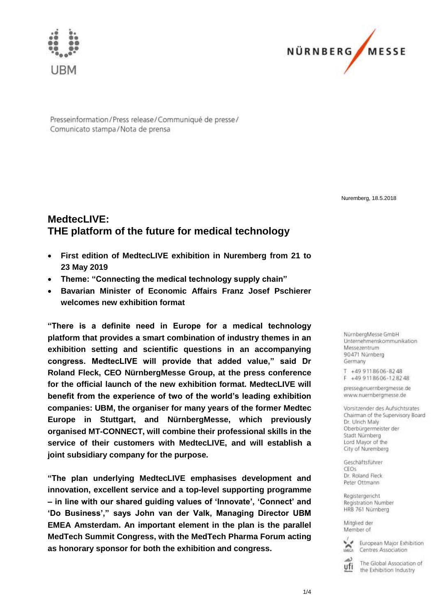



Presseinformation/Press release/Communiqué de presse/ Comunicato stampa/Nota de prensa

Nuremberg, 18.5.2018

# **MedtecLIVE: THE platform of the future for medical technology**

- **First edition of MedtecLIVE exhibition in Nuremberg from 21 to 23 May 2019**
- **Theme: "Connecting the medical technology supply chain"**
- **Bavarian Minister of Economic Affairs Franz Josef Pschierer welcomes new exhibition format**

**"There is a definite need in Europe for a medical technology platform that provides a smart combination of industry themes in an exhibition setting and scientific questions in an accompanying congress. MedtecLIVE will provide that added value," said Dr Roland Fleck, CEO NürnbergMesse Group, at the press conference for the official launch of the new exhibition format. MedtecLIVE will benefit from the experience of two of the world's leading exhibition companies: UBM, the organiser for many years of the former Medtec Europe in Stuttgart, and NürnbergMesse, which previously organised MT-CONNECT, will combine their professional skills in the service of their customers with MedtecLIVE, and will establish a joint subsidiary company for the purpose.**

**"The plan underlying MedtecLIVE emphasises development and innovation, excellent service and a top-level supporting programme – in line with our shared guiding values of 'Innovate', 'Connect' and 'Do Business'," says John van der Valk, Managing Director UBM EMEA Amsterdam. An important element in the plan is the parallel MedTech Summit Congress, with the MedTech Pharma Forum acting as honorary sponsor for both the exhibition and congress.** 

NürnbergMesse GmbH Unternehmenskommunikation Messezentrum 90471 Nürnberg Germany

T +49 9118606-8248 F +49 9118606-128248

presse@nuernbergmesse.de www.nuernbergmesse.de

Vorsitzender des Aufsichtsrates Chairman of the Supervisory Board Dr. Ulrich Malv Oberbürgermeister der Stadt Nürnberg Lord Mayor of the City of Nuremberg

Geschäftsführer **CEOS** Dr. Roland Fleck Peter Ottmann

Registergericht Registration Number HRB 761 Nürnberg

Mitalied der Member of



European Major Exhibition Centres Association

ذما The Global Association of ufi the Exhibition Industry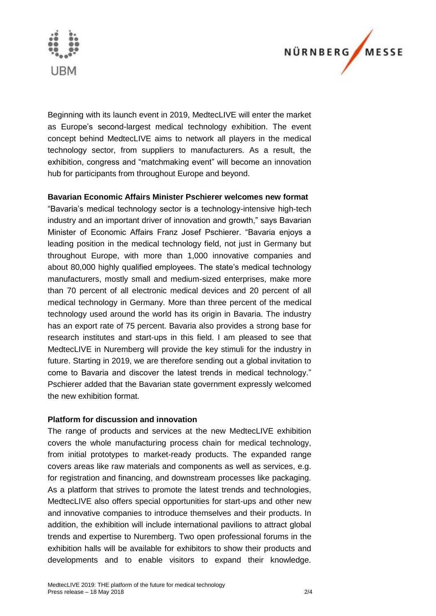



Beginning with its launch event in 2019, MedtecLIVE will enter the market as Europe's second-largest medical technology exhibition. The event concept behind MedtecLIVE aims to network all players in the medical technology sector, from suppliers to manufacturers. As a result, the exhibition, congress and "matchmaking event" will become an innovation hub for participants from throughout Europe and beyond.

#### **Bavarian Economic Affairs Minister Pschierer welcomes new format**

"Bavaria's medical technology sector is a technology-intensive high-tech industry and an important driver of innovation and growth," says Bavarian Minister of Economic Affairs Franz Josef Pschierer. "Bavaria enjoys a leading position in the medical technology field, not just in Germany but throughout Europe, with more than 1,000 innovative companies and about 80,000 highly qualified employees. The state's medical technology manufacturers, mostly small and medium-sized enterprises, make more than 70 percent of all electronic medical devices and 20 percent of all medical technology in Germany. More than three percent of the medical technology used around the world has its origin in Bavaria. The industry has an export rate of 75 percent. Bavaria also provides a strong base for research institutes and start-ups in this field. I am pleased to see that MedtecLIVE in Nuremberg will provide the key stimuli for the industry in future. Starting in 2019, we are therefore sending out a global invitation to come to Bavaria and discover the latest trends in medical technology." Pschierer added that the Bavarian state government expressly welcomed the new exhibition format.

#### **Platform for discussion and innovation**

The range of products and services at the new MedtecLIVE exhibition covers the whole manufacturing process chain for medical technology, from initial prototypes to market-ready products. The expanded range covers areas like raw materials and components as well as services, e.g. for registration and financing, and downstream processes like packaging. As a platform that strives to promote the latest trends and technologies, MedtecLIVE also offers special opportunities for start-ups and other new and innovative companies to introduce themselves and their products. In addition, the exhibition will include international pavilions to attract global trends and expertise to Nuremberg. Two open professional forums in the exhibition halls will be available for exhibitors to show their products and developments and to enable visitors to expand their knowledge.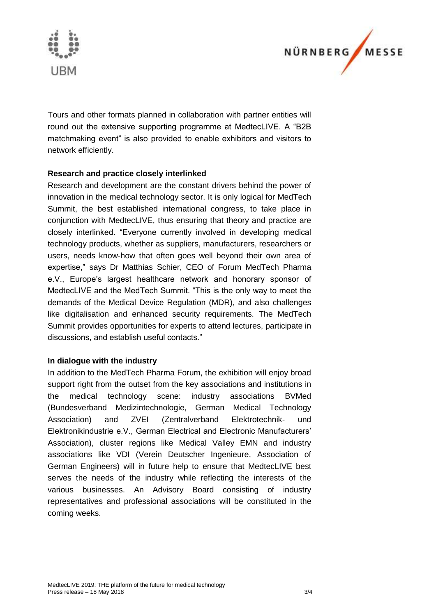



Tours and other formats planned in collaboration with partner entities will round out the extensive supporting programme at MedtecLIVE. A "B2B matchmaking event" is also provided to enable exhibitors and visitors to network efficiently.

# **Research and practice closely interlinked**

Research and development are the constant drivers behind the power of innovation in the medical technology sector. It is only logical for MedTech Summit, the best established international congress, to take place in conjunction with MedtecLIVE, thus ensuring that theory and practice are closely interlinked. "Everyone currently involved in developing medical technology products, whether as suppliers, manufacturers, researchers or users, needs know-how that often goes well beyond their own area of expertise," says Dr Matthias Schier, CEO of Forum MedTech Pharma e.V., Europe's largest healthcare network and honorary sponsor of MedtecLIVE and the MedTech Summit. "This is the only way to meet the demands of the Medical Device Regulation (MDR), and also challenges like digitalisation and enhanced security requirements. The MedTech Summit provides opportunities for experts to attend lectures, participate in discussions, and establish useful contacts."

#### **In dialogue with the industry**

In addition to the MedTech Pharma Forum, the exhibition will enjoy broad support right from the outset from the key associations and institutions in the medical technology scene: industry associations BVMed (Bundesverband Medizintechnologie, German Medical Technology Association) and ZVEI (Zentralverband Elektrotechnik- und Elektronikindustrie e.V., German Electrical and Electronic Manufacturers' Association), cluster regions like Medical Valley EMN and industry associations like VDI (Verein Deutscher Ingenieure, Association of German Engineers) will in future help to ensure that MedtecLIVE best serves the needs of the industry while reflecting the interests of the various businesses. An Advisory Board consisting of industry representatives and professional associations will be constituted in the coming weeks.